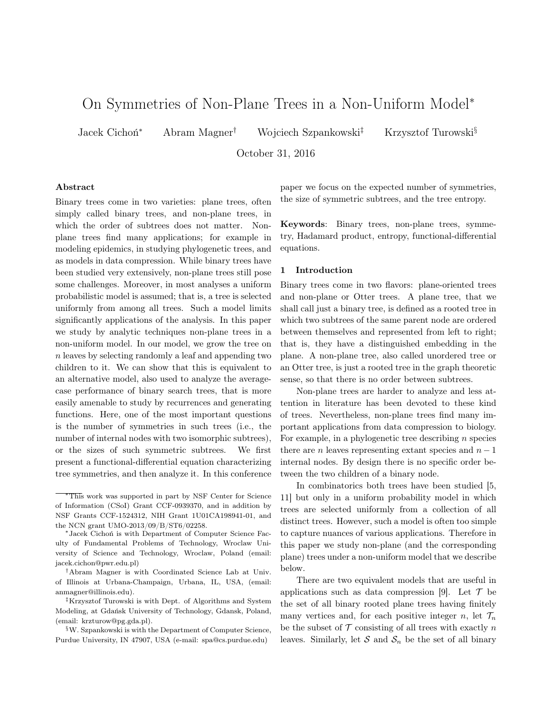# On Symmetries of Non-Plane Trees in a Non-Uniform Model<sup>∗</sup>

Jacek Cichoń<sup>∗</sup> Abram Magner† Wojciech Szpankowski‡ Krzysztof Turowski§

October 31, 2016

### Abstract

Binary trees come in two varieties: plane trees, often simply called binary trees, and non-plane trees, in which the order of subtrees does not matter. Nonplane trees find many applications; for example in modeling epidemics, in studying phylogenetic trees, and as models in data compression. While binary trees have been studied very extensively, non-plane trees still pose some challenges. Moreover, in most analyses a uniform probabilistic model is assumed; that is, a tree is selected uniformly from among all trees. Such a model limits significantly applications of the analysis. In this paper we study by analytic techniques non-plane trees in a non-uniform model. In our model, we grow the tree on n leaves by selecting randomly a leaf and appending two children to it. We can show that this is equivalent to an alternative model, also used to analyze the averagecase performance of binary search trees, that is more easily amenable to study by recurrences and generating functions. Here, one of the most important questions is the number of symmetries in such trees (i.e., the number of internal nodes with two isomorphic subtrees), or the sizes of such symmetric subtrees. We first present a functional-differential equation characterizing tree symmetries, and then analyze it. In this conference paper we focus on the expected number of symmetries, the size of symmetric subtrees, and the tree entropy.

Keywords: Binary trees, non-plane trees, symmetry, Hadamard product, entropy, functional-differential equations.

# 1 Introduction

Binary trees come in two flavors: plane-oriented trees and non-plane or Otter trees. A plane tree, that we shall call just a binary tree, is defined as a rooted tree in which two subtrees of the same parent node are ordered between themselves and represented from left to right; that is, they have a distinguished embedding in the plane. A non-plane tree, also called unordered tree or an Otter tree, is just a rooted tree in the graph theoretic sense, so that there is no order between subtrees.

Non-plane trees are harder to analyze and less attention in literature has been devoted to these kind of trees. Nevertheless, non-plane trees find many important applications from data compression to biology. For example, in a phylogenetic tree describing  $n$  species there are *n* leaves representing extant species and  $n - 1$ internal nodes. By design there is no specific order between the two children of a binary node.

In combinatorics both trees have been studied [5, 11] but only in a uniform probability model in which trees are selected uniformly from a collection of all distinct trees. However, such a model is often too simple to capture nuances of various applications. Therefore in this paper we study non-plane (and the corresponding plane) trees under a non-uniform model that we describe below.

There are two equivalent models that are useful in applications such as data compression [9]. Let  $\mathcal T$  be the set of all binary rooted plane trees having finitely many vertices and, for each positive integer n, let  $\mathcal{T}_n$ be the subset of  $\mathcal T$  consisting of all trees with exactly n leaves. Similarly, let S and  $S_n$  be the set of all binary

<sup>∗</sup>This work was supported in part by NSF Center for Science of Information (CSoI) Grant CCF-0939370, and in addition by NSF Grants CCF-1524312, NIH Grant 1U01CA198941-01, and the NCN grant UMO-2013/09/B/ST6/02258.

<sup>∗</sup>Jacek Cichoń is with Department of Computer Science Faculty of Fundamental Problems of Technology, Wroclaw University of Science and Technology, Wroclaw, Poland (email: jacek.cichon@pwr.edu.pl)

<sup>†</sup>Abram Magner is with Coordinated Science Lab at Univ. of Illinois at Urbana-Champaign, Urbana, IL, USA, (email: anmagner@illinois.edu).

<sup>‡</sup>Krzysztof Turowski is with Dept. of Algorithms and System Modeling, at Gdańsk University of Technology, Gdansk, Poland, (email: krzturow@pg.gda.pl).

<sup>§</sup>W. Szpankowski is with the Department of Computer Science, Purdue University, IN 47907, USA (e-mail: spa@cs.purdue.edu)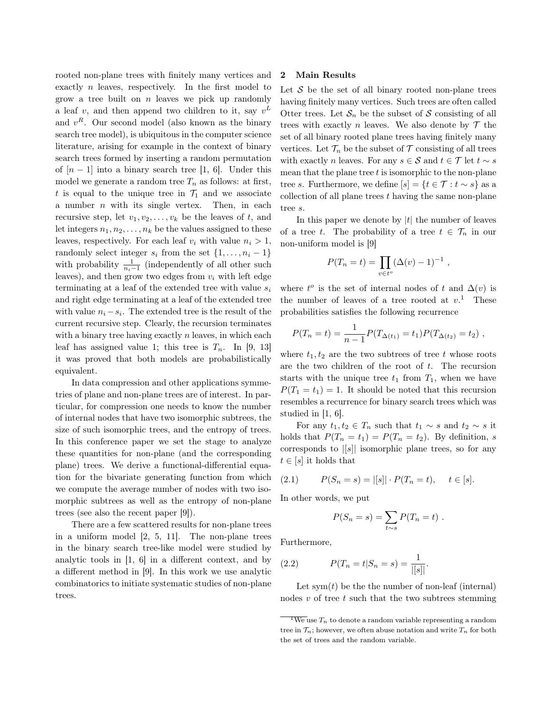rooted non-plane trees with finitely many vertices and exactly n leaves, respectively. In the first model to grow a tree built on  $n$  leaves we pick up randomly a leaf v, and then append two children to it, say  $v^L$ and  $v^R$ . Our second model (also known as the binary search tree model), is ubiquitous in the computer science literature, arising for example in the context of binary search trees formed by inserting a random permutation of  $[n-1]$  into a binary search tree [1, 6]. Under this model we generate a random tree  $T_n$  as follows: at first, t is equal to the unique tree in  $\mathcal{T}_1$  and we associate a number  $n$  with its single vertex. Then, in each recursive step, let  $v_1, v_2, \ldots, v_k$  be the leaves of t, and let integers  $n_1, n_2, \ldots, n_k$  be the values assigned to these leaves, respectively. For each leaf  $v_i$  with value  $n_i > 1$ , randomly select integer  $s_i$  from the set  $\{1, \ldots, n_i-1\}$ with probability  $\frac{1}{n_i-1}$  (independently of all other such leaves), and then grow two edges from  $v_i$  with left edge terminating at a leaf of the extended tree with value  $s_i$ and right edge terminating at a leaf of the extended tree with value  $n_i - s_i$ . The extended tree is the result of the current recursive step. Clearly, the recursion terminates with a binary tree having exactly  $n$  leaves, in which each leaf has assigned value 1; this tree is  $T_n$ . In [9, 13] it was proved that both models are probabilistically equivalent.

In data compression and other applications symmetries of plane and non-plane trees are of interest. In particular, for compression one needs to know the number of internal nodes that have two isomorphic subtrees, the size of such isomorphic trees, and the entropy of trees. In this conference paper we set the stage to analyze these quantities for non-plane (and the corresponding plane) trees. We derive a functional-differential equation for the bivariate generating function from which we compute the average number of nodes with two isomorphic subtrees as well as the entropy of non-plane trees (see also the recent paper [9]).

There are a few scattered results for non-plane trees in a uniform model [2, 5, 11]. The non-plane trees in the binary search tree-like model were studied by analytic tools in [1, 6] in a different context, and by a different method in [9]. In this work we use analytic combinatorics to initiate systematic studies of non-plane trees.

#### 2 Main Results

Let  $S$  be the set of all binary rooted non-plane trees having finitely many vertices. Such trees are often called Otter trees. Let  $S_n$  be the subset of S consisting of all trees with exactly *n* leaves. We also denote by  $\mathcal T$  the set of all binary rooted plane trees having finitely many vertices. Let  $\mathcal{T}_n$  be the subset of  $\mathcal T$  consisting of all trees with exactly *n* leaves. For any  $s \in \mathcal{S}$  and  $t \in \mathcal{T}$  let  $t \sim s$ mean that the plane tree  $t$  is isomorphic to the non-plane tree s. Furthermore, we define  $[s] = \{t \in \mathcal{T} : t \sim s\}$  as a collection of all plane trees  $t$  having the same non-plane tree s.

In this paper we denote by  $|t|$  the number of leaves of a tree t. The probability of a tree  $t \in \mathcal{T}_n$  in our non-uniform model is [9]

$$
P(T_n = t) = \prod_{v \in t^o} (\Delta(v) - 1)^{-1}
$$

,

where  $t^o$  is the set of internal nodes of t and  $\Delta(v)$  is the number of leaves of a tree rooted at  $v<sup>1</sup>$ . <sup>1</sup> These probabilities satisfies the following recurrence

$$
P(T_n = t) = \frac{1}{n-1} P(T_{\Delta(t_1)} = t_1) P(T_{\Delta(t_2)} = t_2) ,
$$

where  $t_1, t_2$  are the two subtrees of tree t whose roots are the two children of the root of  $t$ . The recursion starts with the unique tree  $t_1$  from  $T_1$ , when we have  $P(T_1 = t_1) = 1$ . It should be noted that this recursion resembles a recurrence for binary search trees which was studied in [1, 6].

For any  $t_1, t_2 \in T_n$  such that  $t_1 \sim s$  and  $t_2 \sim s$  it holds that  $P(T_n = t_1) = P(T_n = t_2)$ . By definition, s corresponds to  $|[s]|$  isomorphic plane trees, so for any  $t \in [s]$  it holds that

(2.1) 
$$
P(S_n = s) = |[s]| \cdot P(T_n = t), \quad t \in [s].
$$

In other words, we put

$$
P(S_n = s) = \sum_{t \sim s} P(T_n = t) .
$$

Furthermore,

(2.2) 
$$
P(T_n = t | S_n = s) = \frac{1}{|[s]|}.
$$

Let sym $(t)$  be the number of non-leaf (internal) nodes  $v$  of tree  $t$  such that the two subtrees stemming

 $\sqrt{1 + W}$  use  $T_n$  to denote a random variable representing a random tree in  $\mathcal{T}_n$ ; however, we often abuse notation and write  $T_n$  for both the set of trees and the random variable.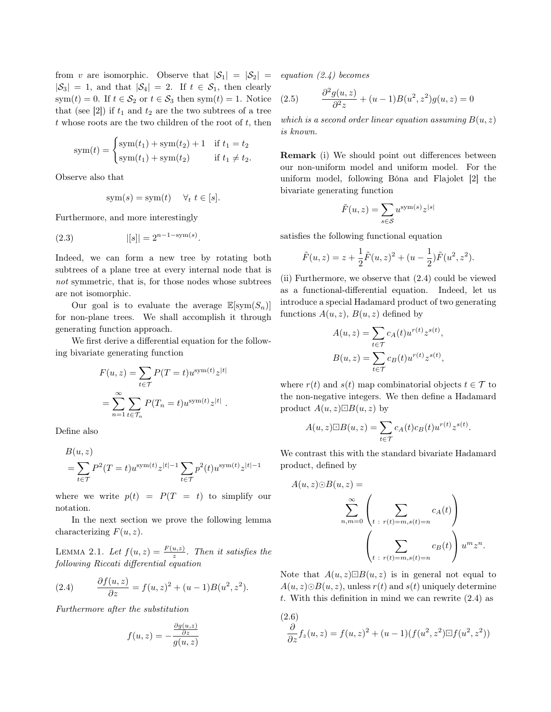from v are isomorphic. Observe that  $|S_1| = |S_2|$  =  $|\mathcal{S}_3| = 1$ , and that  $|\mathcal{S}_4| = 2$ . If  $t \in \mathcal{S}_1$ , then clearly sym(t) = 0. If  $t \in S_2$  or  $t \in S_3$  then sym(t) = 1. Notice that (see [2]) if  $t_1$  and  $t_2$  are the two subtrees of a tree  $t$  whose roots are the two children of the root of  $t$ , then

$$
sym(t) = \begin{cases} sym(t_1) + sym(t_2) + 1 & \text{if } t_1 = t_2 \\ sym(t_1) + sym(t_2) & \text{if } t_1 \neq t_2. \end{cases}
$$

Observe also that

$$
sym(s) = sym(t) \quad \forall_t \ t \in [s].
$$

Furthermore, and more interestingly

(2.3) 
$$
|[s]| = 2^{n-1-\text{sym}(s)}.
$$

Indeed, we can form a new tree by rotating both subtrees of a plane tree at every internal node that is not symmetric, that is, for those nodes whose subtrees are not isomorphic.

Our goal is to evaluate the average  $\mathbb{E}[\text{sym}(S_n)]$ for non-plane trees. We shall accomplish it through generating function approach.

We first derive a differential equation for the following bivariate generating function

$$
F(u, z) = \sum_{t \in \mathcal{T}} P(T = t) u^{\text{sym}(t)} z^{|t|}
$$

$$
= \sum_{n=1}^{\infty} \sum_{t \in \mathcal{T}_n} P(T_n = t) u^{\text{sym}(t)} z^{|t|}.
$$

Define also

$$
B(u, z) = \sum_{t \in \mathcal{T}} P^2(T = t) u^{\text{sym}(t)} z^{|t| - 1} \sum_{t \in \mathcal{T}} p^2(t) u^{\text{sym}(t)} z^{|t| - 1}
$$

where we write  $p(t) = P(T = t)$  to simplify our notation.

In the next section we prove the following lemma characterizing  $F(u, z)$ .

LEMMA 2.1. Let  $f(u, z) = \frac{F(u, z)}{z}$ . Then it satisfies the following Riccati differential equation

(2.4) 
$$
\frac{\partial f(u, z)}{\partial z} = f(u, z)^2 + (u - 1)B(u^2, z^2).
$$

Furthermore after the substitution

$$
f(u, z) = -\frac{\frac{\partial g(u, z)}{\partial z}}{g(u, z)}
$$

equation (2.4) becomes

(2.5) 
$$
\frac{\partial^2 g(u, z)}{\partial^2 z} + (u - 1)B(u^2, z^2)g(u, z) = 0
$$

which is a second order linear equation assuming  $B(u, z)$ is known.

Remark (i) We should point out differences between our non-uniform model and uniform model. For the uniform model, following Bóna and Flajolet [2] the bivariate generating function

$$
\tilde{F}(u,z) = \sum_{s \in \mathcal{S}} u^{\text{sym}(s)} z^{|s|}
$$

satisfies the following functional equation

$$
\tilde{F}(u, z) = z + \frac{1}{2}\tilde{F}(u, z)^{2} + (u - \frac{1}{2})\tilde{F}(u^{2}, z^{2}).
$$

(ii) Furthermore, we observe that (2.4) could be viewed as a functional-differential equation. Indeed, let us introduce a special Hadamard product of two generating functions  $A(u, z)$ ,  $B(u, z)$  defined by

$$
A(u, z) = \sum_{t \in \mathcal{T}} c_A(t) u^{r(t)} z^{s(t)},
$$
  

$$
B(u, z) = \sum_{t \in \mathcal{T}} c_B(t) u^{r(t)} z^{s(t)},
$$

where  $r(t)$  and  $s(t)$  map combinatorial objects  $t \in \mathcal{T}$  to the non-negative integers. We then define a Hadamard product  $A(u, z) \square B(u, z)$  by

$$
A(u, z) \Box B(u, z) = \sum_{t \in \mathcal{T}} c_A(t) c_B(t) u^{r(t)} z^{s(t)}
$$

.

We contrast this with the standard bivariate Hadamard product, defined by

$$
A(u, z) \odot B(u, z) = \sum_{n,m=0}^{\infty} \left( \sum_{t \; : \; r(t) = m, s(t) = n} c_A(t) \right)
$$

$$
\left( \sum_{t \; : \; r(t) = m, s(t) = n} c_B(t) \right) u^m z^n.
$$

Note that  $A(u, z) \square B(u, z)$  is in general not equal to  $A(u, z) \odot B(u, z)$ , unless  $r(t)$  and  $s(t)$  uniquely determine t. With this definition in mind we can rewrite  $(2.4)$  as

$$
\frac{\partial}{\partial z} f_z(u, z) = f(u, z)^2 + (u - 1)(f(u^2, z^2) \Box f(u^2, z^2))
$$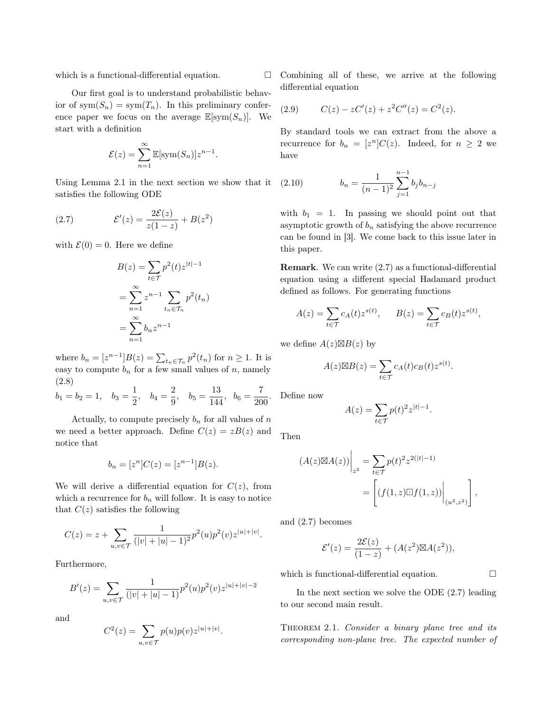which is a functional-differential equation.  $\Box$ 

Our first goal is to understand probabilistic behavior of sym $(S_n) = \text{sym}(T_n)$ . In this preliminary conference paper we focus on the average  $\mathbb{E}[\text{sym}(S_n)]$ . We start with a definition

$$
\mathcal{E}(z) = \sum_{n=1}^{\infty} \mathbb{E}[\text{sym}(S_n)] z^{n-1}.
$$

Using Lemma 2.1 in the next section we show that it satisfies the following ODE

(2.7) 
$$
\mathcal{E}'(z) = \frac{2\mathcal{E}(z)}{z(1-z)} + B(z^2)
$$

with  $\mathcal{E}(0) = 0$ . Here we define

$$
B(z) = \sum_{t \in \mathcal{T}} p^2(t) z^{|t|-1}
$$

$$
= \sum_{n=1}^{\infty} z^{n-1} \sum_{t_n \in \mathcal{T}_n} p^2(t_n)
$$

$$
= \sum_{n=1}^{\infty} b_n z^{n-1}
$$

where  $b_n = [z^{n-1}]B(z) = \sum_{t_n \in \mathcal{T}_n} p^2(t_n)$  for  $n \ge 1$ . It is easy to compute  $b_n$  for a few small values of n, namely (2.8)

$$
b_1 = b_2 = 1
$$
,  $b_3 = \frac{1}{2}$ ,  $b_4 = \frac{2}{9}$ ,  $b_5 = \frac{13}{144}$ ,  $b_6 = \frac{7}{200}$ .

Actually, to compute precisely  $b_n$  for all values of n we need a better approach. Define  $C(z) = zB(z)$  and notice that

$$
b_n = [z^n]C(z) = [z^{n-1}]B(z).
$$

We will derive a differential equation for  $C(z)$ , from which a recurrence for  $b_n$  will follow. It is easy to notice that  $C(z)$  satisfies the following

$$
C(z) = z + \sum_{u,v \in \mathcal{T}} \frac{1}{(|v| + |u| - 1)^2} p^2(u) p^2(v) z^{|u| + |v|}.
$$

Furthermore,

$$
B'(z) = \sum_{u,v \in \mathcal{T}} \frac{1}{(|v| + |u| - 1)} p^{2}(u) p^{2}(v) z^{|u| + |v| - 2}
$$

and

$$
C^2(z)=\sum_{u,v\in\mathcal{T}}p(u)p(v)z^{|u|+|v|}.
$$

Combining all of these, we arrive at the following differential equation

(2.9) 
$$
C(z) - zC'(z) + z^2C''(z) = C^2(z).
$$

By standard tools we can extract from the above a recurrence for  $b_n = [z^n]C(z)$ . Indeed, for  $n \geq 2$  we have

(2.10) 
$$
b_n = \frac{1}{(n-1)^2} \sum_{j=1}^{n-1} b_j b_{n-j}
$$

with  $b_1 = 1$ . In passing we should point out that asymptotic growth of  $b_n$  satisfying the above recurrence can be found in [3]. We come back to this issue later in this paper.

**Remark.** We can write  $(2.7)$  as a functional-differential equation using a different special Hadamard product defined as follows. For generating functions

$$
A(z) = \sum_{t \in \mathcal{T}} c_A(t) z^{s(t)}, \qquad B(z) = \sum_{t \in \mathcal{T}} c_B(t) z^{s(t)},
$$

we define  $A(z) \boxtimes B(z)$  by

$$
A(z) \boxtimes B(z) = \sum_{t \in \mathcal{T}} c_A(t) c_B(t) z^{s(t)}.
$$

Define now

$$
A(z) = \sum_{t \in \mathcal{T}} p(t)^2 z^{|t|-1}.
$$

Then

$$
(A(z)\boxtimes A(z))\Big|_{z^2} = \sum_{t\in\mathcal{T}} p(t)^2 z^{2(|t|-1)}
$$

$$
= \left[ (f(1,z)\boxdot f(1,z))\Big|_{(u^2,z^2)} \right],
$$

and (2.7) becomes

$$
\mathcal{E}'(z) = \frac{2\mathcal{E}(z)}{(1-z)} + (A(z^2)\boxtimes A(z^2)),
$$

which is functional-differential equation.  $\Box$ 

In the next section we solve the ODE (2.7) leading to our second main result.

THEOREM 2.1. Consider a binary plane tree and its corresponding non-plane tree. The expected number of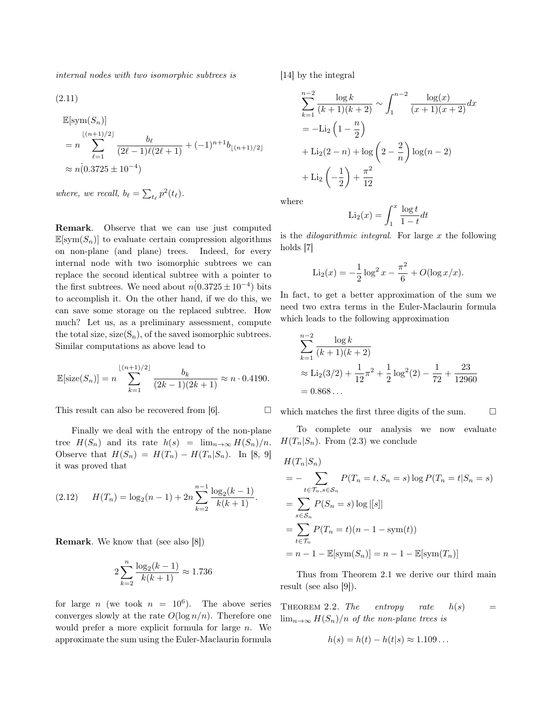internal nodes with two isomorphic subtrees is

(2.11)

$$
\mathbb{E}[\text{sym}(S_n)]
$$
  
=  $n \sum_{\ell=1}^{\lfloor (n+1)/2 \rfloor} \frac{b_{\ell}}{(2\ell-1)\ell(2\ell+1)} + (-1)^{n+1}b_{\lfloor (n+1)/2 \rfloor}$   
 $\approx n(0.3725 \pm 10^{-4})$ 

where, we recall,  $b_{\ell} = \sum_{t_{\ell}} p^2(t_{\ell}).$ 

Remark. Observe that we can use just computed  $\mathbb{E}[\text{sym}(S_n)]$  to evaluate certain compression algorithms on non-plane (and plane) trees. Indeed, for every internal node with two isomorphic subtrees we can replace the second identical subtree with a pointer to the first subtrees. We need about  $n(0.3725 \pm 10^{-4})$  bits to accomplish it. On the other hand, if we do this, we can save some storage on the replaced subtree. How much? Let us, as a preliminary assessment, compute the total size,  $size(S_n)$ , of the saved isomorphic subtrees. Similar computations as above lead to

$$
\mathbb{E}[\text{size}(S_n)] = n \sum_{k=1}^{\lfloor (n+1)/2 \rfloor} \frac{b_k}{(2k-1)(2k+1)} \approx n \cdot 0.4190.
$$

This result can also be recovered from [6].  $\Box$ 

Finally we deal with the entropy of the non-plane tree  $H(S_n)$  and its rate  $h(s) = \lim_{n \to \infty} H(S_n)/n$ . Observe that  $H(S_n) = H(T_n) - H(T_n|S_n)$ . In [8, 9] it was proved that

(2.12) 
$$
H(T_n) = \log_2(n-1) + 2n \sum_{k=2}^{n-1} \frac{\log_2(k-1)}{k(k+1)}.
$$

Remark. We know that (see also [8])

$$
2\sum_{k=2}^{n} \frac{\log_2(k-1)}{k(k+1)} \approx 1.736
$$

for large *n* (we took  $n = 10^6$ ). The above series converges slowly at the rate  $O(\log n/n)$ . Therefore one would prefer a more explicit formula for large  $n$ . We approximate the sum using the Euler-Maclaurin formula [14] by the integral

$$
\sum_{k=1}^{n-2} \frac{\log k}{(k+1)(k+2)} \sim \int_{1}^{n-2} \frac{\log(x)}{(x+1)(x+2)} dx
$$
  
=  $-\text{Li}_2\left(1 - \frac{n}{2}\right)$   
+  $\text{Li}_2(2-n) + \log\left(2 - \frac{2}{n}\right) \log(n-2)$   
+  $\text{Li}_2\left(-\frac{1}{2}\right) + \frac{\pi^2}{12}$ 

where

$$
\text{Li}_2(x) = \int_1^x \frac{\log t}{1 - t} dt
$$

is the *dilogarithmic integral*. For large  $x$  the following holds [7]

$$
\text{Li}_2(x) = -\frac{1}{2}\log^2 x - \frac{\pi^2}{6} + O(\log x/x).
$$

In fact, to get a better approximation of the sum we need two extra terms in the Euler-Maclaurin formula which leads to the following approximation

$$
\sum_{k=1}^{n-2} \frac{\log k}{(k+1)(k+2)}
$$
  
\n
$$
\approx \text{Li}_2(3/2) + \frac{1}{12}\pi^2 + \frac{1}{2}\log^2(2) - \frac{1}{72} + \frac{23}{12960}
$$
  
\n= 0.868...

which matches the first three digits of the sum.  $\Box$ 

To complete our analysis we now evaluate  $H(T_n|S_n)$ . From (2.3) we conclude

$$
H(T_n|S_n)
$$
  
=  $-\sum_{t \in \mathcal{T}_n, s \in \mathcal{S}_n} P(T_n = t, S_n = s) \log P(T_n = t|S_n = s)$   
=  $\sum_{s \in \mathcal{S}_n} P(S_n = s) \log |[s]|$   
=  $\sum_{t \in \mathcal{T}_n} P(T_n = t)(n - 1 - \text{sym}(t))$   
=  $n - 1 - \mathbb{E}[\text{sym}(S_n)] = n - 1 - \mathbb{E}[\text{sym}(T_n)]$ 

Thus from Theorem 2.1 we derive our third main result (see also [9]).

THEOREM 2.2. The entropy rate  $h(s)$  =  $\lim_{n\to\infty} H(S_n)/n$  of the non-plane trees is

$$
h(s) = h(t) - h(t|s) \approx 1.109...
$$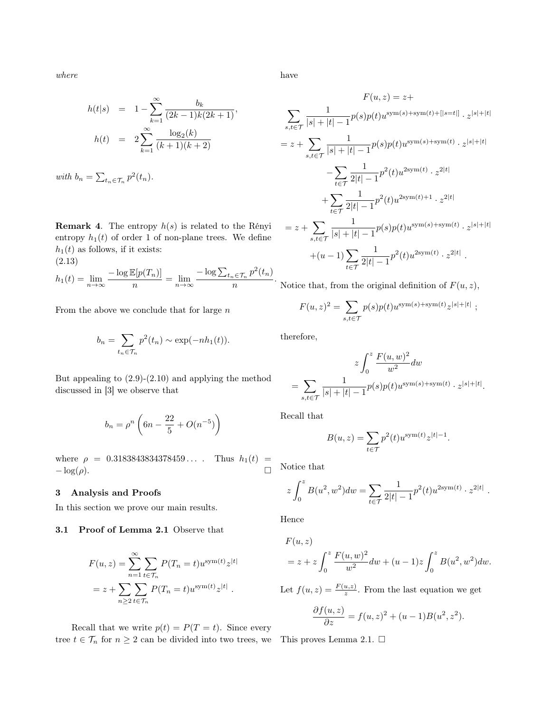where

$$
h(t|s) = 1 - \sum_{k=1}^{\infty} \frac{b_k}{(2k-1)k(2k+1)},
$$
  

$$
h(t) = 2 \sum_{k=1}^{\infty} \frac{\log_2(k)}{(k+1)(k+2)}
$$

with  $b_n = \sum_{t_n \in \mathcal{T}_n} p^2(t_n)$ .

**Remark 4.** The entropy  $h(s)$  is related to the Rényi entropy  $h_1(t)$  of order 1 of non-plane trees. We define  $h_1(t)$  as follows, if it exists: (2.13)

$$
h_1(t) = \lim_{n \to \infty} \frac{-\log \mathbb{E}[p(T_n)]}{n} = \lim_{n \to \infty} \frac{-\log \sum_{t_n \in \mathcal{T}_n} p^2(t_n)}{n}
$$

From the above we conclude that for large  $n$ 

$$
b_n = \sum_{t_n \in \mathcal{T}_n} p^2(t_n) \sim \exp(-nh_1(t)).
$$

But appealing to (2.9)-(2.10) and applying the method discussed in [3] we observe that

$$
b_n = \rho^n \left( 6n - \frac{22}{5} + O(n^{-5}) \right)
$$

where  $\rho = 0.3183843834378459...$  Thus  $h_1(t) = -\log(a)$ .  $-\log(\rho)$ .

# 3 Analysis and Proofs

In this section we prove our main results.

# 3.1 Proof of Lemma 2.1 Observe that

$$
F(u, z) = \sum_{n=1}^{\infty} \sum_{t \in \mathcal{T}_n} P(T_n = t) u^{\text{sym}(t)} z^{|t|}
$$
  
=  $z + \sum_{n \ge 2} \sum_{t \in \mathcal{T}_n} P(T_n = t) u^{\text{sym}(t)} z^{|t|}$ .

Recall that we write  $p(t) = P(T = t)$ . Since every tree  $t \in \mathcal{T}_n$  for  $n \geq 2$  can be divided into two trees, we This proves Lemma 2.1.  $\Box$ 

have

$$
F(u, z) = z +
$$
\n
$$
\sum_{s, t \in \mathcal{T}} \frac{1}{|s| + |t| - 1} p(s) p(t) u^{\text{sym}(s) + \text{sym}(t) + [|s=t|]} \cdot z^{|s| + |t|}
$$
\n
$$
= z + \sum_{s, t \in \mathcal{T}} \frac{1}{|s| + |t| - 1} p(s) p(t) u^{\text{sym}(s) + \text{sym}(t)} \cdot z^{|s| + |t|}
$$
\n
$$
- \sum_{t \in \mathcal{T}} \frac{1}{2|t| - 1} p^{2}(t) u^{2 \text{sym}(t)} \cdot z^{2|t|}
$$
\n
$$
= z + \sum_{s, t \in \mathcal{T}} \frac{1}{|s| + |t| - 1} p(s) p(t) u^{\text{sym}(s) + \text{sym}(t)} \cdot z^{|s| + |t|}
$$
\n
$$
+ (u - 1) \sum_{t \in \mathcal{T}} \frac{1}{2|t| - 1} p^{2}(t) u^{2 \text{sym}(t)} \cdot z^{2|t|}.
$$

 $\frac{(t_n)}{1-t_n}$ . Notice that, from the original definition of  $F(u, z)$ ,

$$
F(u,z)^2 = \sum_{s,t \in \mathcal{T}} p(s)p(t)u^{\text{sym}(s)+\text{sym}(t)}z^{|s|+|t|} ;
$$

therefore,

$$
z \int_0^z \frac{F(u, w)^2}{w^2} dw
$$
  
= 
$$
\sum_{s, t \in \mathcal{T}} \frac{1}{|s| + |t| - 1} p(s) p(t) u^{\text{sym}(s) + \text{sym}(t)} \cdot z^{|s| + |t|}.
$$

Recall that

$$
B(u,z)=\sum_{t\in\mathcal{T}}p^2(t)u^{\text{sym}(t)}z^{|t|-1}
$$

.

Notice that

$$
z\int_0^z B(u^2,w^2)dw = \sum_{t\in\mathcal{T}}\frac{1}{2|t|-1}p^2(t)u^{2\text{sym}(t)}\cdot z^{2|t|}\ .
$$

Hence

$$
F(u, z)
$$
  
=  $z + z \int_0^z \frac{F(u, w)^2}{w^2} dw + (u - 1)z \int_0^z B(u^2, w^2) dw.$ 

Let  $f(u, z) = \frac{F(u, z)}{z}$ . From the last equation we get

$$
\frac{\partial f(u,z)}{\partial z} = f(u,z)^2 + (u-1)B(u^2,z^2).
$$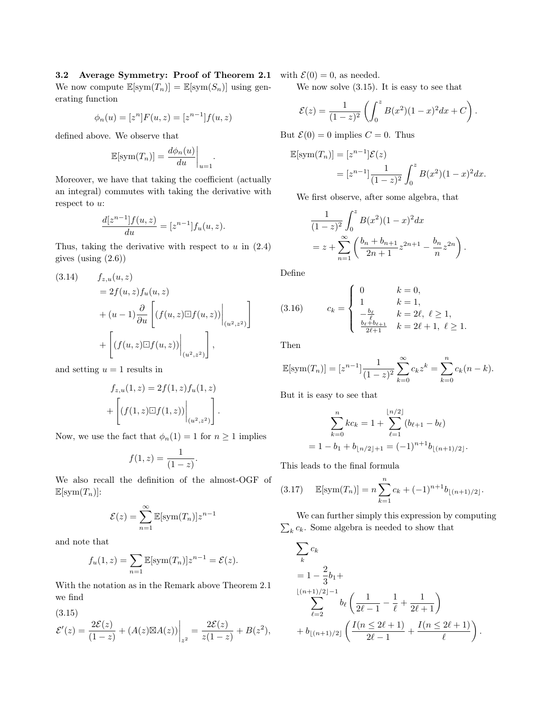**3.2** Average Symmetry: Proof of Theorem 2.1 with  $\mathcal{E}(0) = 0$ , as needed. We now compute  $\mathbb{E}[\text{sym}(T_n)] = \mathbb{E}[\text{sym}(S_n)]$  using generating function

$$
\phi_n(u) = [z^n]F(u, z) = [z^{n-1}]f(u, z)
$$

defined above. We observe that

$$
\mathbb{E}[\text{sym}(T_n)] = \frac{d\phi_n(u)}{du}\bigg|_{u=1}.
$$

Moreover, we have that taking the coefficient (actually an integral) commutes with taking the derivative with respect to u:

$$
\frac{d[z^{n-1}]f(u,z)}{du} = [z^{n-1}]f_u(u,z).
$$

Thus, taking the derivative with respect to  $u$  in  $(2.4)$ gives (using  $(2.6)$ )

(3.14) 
$$
f_{z,u}(u, z) = 2f(u, z)f_u(u, z) + (u - 1)\frac{\partial}{\partial u}\left[\left(f(u, z)\Box f(u, z)\right)\Big|_{(u^2, z^2)}\right] + \left[\left(f(u, z)\Box f(u, z)\right)\Big|_{(u^2, z^2)}\right],
$$

and setting  $u = 1$  results in

$$
f_{z,u}(1, z) = 2f(1, z)f_u(1, z)
$$

$$
+ \left[ (f(1, z)\Box f(1, z)) \Big|_{(u^2, z^2)} \right].
$$

Now, we use the fact that  $\phi_n(1) = 1$  for  $n \ge 1$  implies

$$
f(1, z) = \frac{1}{(1 - z)}.
$$

We also recall the definition of the almost-OGF of  $\mathbb{E}[\text{sym}(T_n)]$ :

$$
\mathcal{E}(z) = \sum_{n=1}^{\infty} \mathbb{E}[\text{sym}(T_n)] z^{n-1}
$$

and note that

$$
f_u(1, z) = \sum_{n=1} \mathbb{E}[\text{sym}(T_n)] z^{n-1} = \mathcal{E}(z).
$$

With the notation as in the Remark above Theorem 2.1 we find

(3.15)  
\n
$$
\mathcal{E}'(z) = \frac{2\mathcal{E}(z)}{(1-z)} + (A(z)\boxtimes A(z))\Big|_{z^2} = \frac{2\mathcal{E}(z)}{z(1-z)} + B(z^2),
$$

We now solve (3.15). It is easy to see that

$$
\mathcal{E}(z) = \frac{1}{(1-z)^2} \left( \int_0^z B(x^2)(1-x)^2 dx + C \right).
$$

But  $\mathcal{E}(0) = 0$  implies  $C = 0$ . Thus

$$
\mathbb{E}[\text{sym}(T_n)] = [z^{n-1}]\mathcal{E}(z)
$$
  
=  $[z^{n-1}]\frac{1}{(1-z)^2} \int_0^z B(x^2)(1-x)^2 dx.$ 

We first observe, after some algebra, that

$$
\frac{1}{(1-z)^2} \int_0^z B(x^2)(1-x)^2 dx
$$
  
=  $z + \sum_{n=1}^\infty \left( \frac{b_n + b_{n+1}}{2n+1} z^{2n+1} - \frac{b_n}{n} z^{2n} \right)$ 

.

.

Define

(3.16) 
$$
c_k = \begin{cases} 0 & k = 0, \\ 1 & k = 1, \\ -\frac{b_\ell}{\ell} & k = 2\ell, \ \ell \ge 1, \\ \frac{b_\ell + b_{\ell+1}}{2\ell + 1} & k = 2\ell + 1, \ \ell \ge 1. \end{cases}
$$

Then

$$
\mathbb{E}[\text{sym}(T_n)] = [z^{n-1}] \frac{1}{(1-z)^2} \sum_{k=0}^{\infty} c_k z^k = \sum_{k=0}^{n} c_k (n-k).
$$

But it is easy to see that

$$
\sum_{k=0}^{n} kc_k = 1 + \sum_{\ell=1}^{\lfloor n/2 \rfloor} (b_{\ell+1} - b_{\ell})
$$
  
= 1 - b<sub>1</sub> + b<sub>\lfloor n/2 \rfloor + 1</sub> = (-1)<sup>n+1</sup>b<sub>\lfloor (n+1)/2 \rfloor</sub>.

This leads to the final formula

(3.17) 
$$
\mathbb{E}[\text{sym}(T_n)] = n \sum_{k=1}^n c_k + (-1)^{n+1} b_{\lfloor (n+1)/2 \rfloor}.
$$

We can further simply this expression by computing  $\sum_k c_k$ . Some algebra is needed to show that

$$
\sum_{k} c_{k}
$$
\n
$$
= 1 - \frac{2}{3}b_{1} +
$$
\n
$$
\sum_{\ell=2}^{\lfloor (n+1)/2 \rfloor - 1} b_{\ell} \left( \frac{1}{2\ell - 1} - \frac{1}{\ell} + \frac{1}{2\ell + 1} \right)
$$
\n
$$
+ b_{\lfloor (n+1)/2 \rfloor} \left( \frac{I(n \le 2\ell + 1)}{2\ell - 1} + \frac{I(n \le 2\ell + 1)}{\ell} \right)
$$